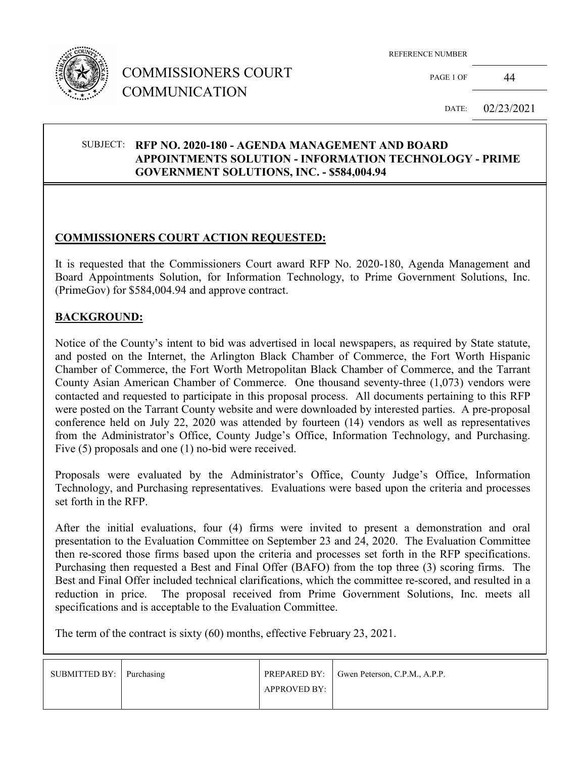

## COMMISSIONERS COURT COMMUNICATION

REFERENCE NUMBER

PAGE 1 OF 44

DATE: 02/23/2021

#### SUBJECT: **RFP NO. 2020-180 - AGENDA MANAGEMENT AND BOARD APPOINTMENTS SOLUTION - INFORMATION TECHNOLOGY - PRIME GOVERNMENT SOLUTIONS, INC. - \$584,004.94**

### **COMMISSIONERS COURT ACTION REQUESTED:**

It is requested that the Commissioners Court award RFP No. 2020-180, Agenda Management and Board Appointments Solution, for Information Technology, to Prime Government Solutions, Inc. (PrimeGov) for \$584,004.94 and approve contract.

#### **BACKGROUND:**

Notice of the County's intent to bid was advertised in local newspapers, as required by State statute, and posted on the Internet, the Arlington Black Chamber of Commerce, the Fort Worth Hispanic Chamber of Commerce, the Fort Worth Metropolitan Black Chamber of Commerce, and the Tarrant County Asian American Chamber of Commerce. One thousand seventy-three (1,073) vendors were contacted and requested to participate in this proposal process. All documents pertaining to this RFP were posted on the Tarrant County website and were downloaded by interested parties. A pre-proposal conference held on July 22, 2020 was attended by fourteen (14) vendors as well as representatives from the Administrator's Office, County Judge's Office, Information Technology, and Purchasing. Five (5) proposals and one (1) no-bid were received.

Proposals were evaluated by the Administrator's Office, County Judge's Office, Information Technology, and Purchasing representatives. Evaluations were based upon the criteria and processes set forth in the RFP.

After the initial evaluations, four (4) firms were invited to present a demonstration and oral presentation to the Evaluation Committee on September 23 and 24, 2020. The Evaluation Committee then re-scored those firms based upon the criteria and processes set forth in the RFP specifications. Purchasing then requested a Best and Final Offer (BAFO) from the top three (3) scoring firms. The Best and Final Offer included technical clarifications, which the committee re-scored, and resulted in a reduction in price. The proposal received from Prime Government Solutions, Inc. meets all specifications and is acceptable to the Evaluation Committee.

The term of the contract is sixty (60) months, effective February 23, 2021.

| SUBMITTED BY: Purchasing |                     | PREPARED BY:   Gwen Peterson, C.P.M., A.P.P. |
|--------------------------|---------------------|----------------------------------------------|
|                          | <b>APPROVED BY:</b> |                                              |